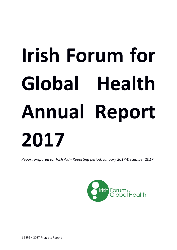# **Irish Forum for** Global Health **Annual Report 2017**

*Report prepared for Irish Aid - Reporting period: January 2017-December 2017* 

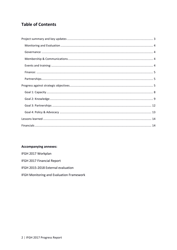# **Table of Contents**

# **Accompanying annexes:**

IFGH 2017 Workplan

IFGH 2017 Financial Report

IFGH 2015-2018 External evaluation

IFGH Monitoring and Evaluation Framework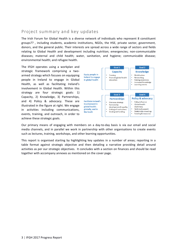# Project summary and key updates

The Irish Forum for Global Health is a diverse network of individuals who represent 8 constituent groups?? , including students, academic institutions, NGOs, the HSE, private sector, government, donors, and the general public. Their interests are spread across a wide range of sectors and fields relating to Global Health and development including nutrition; emergencies; non-communicable diseases; maternal and child health; water, sanitation, and hygiene; communicable disease; environmental health; and refugee health.

The IFGH operates using a workplan and strategic framework comprising a twoarmed strategy which focuses on equipping people in Ireland to engage in Global Health, as well as facilitating Ireland's involvement in Global Health. Within this strategy are four strategic goals: 1) Capacity, 2) Knowledge, 3) Partnerships, and 4) Policy & advocacy. These are illustrated in the figure at right. We engage in activities including communications, events, training, and outreach, in order to achieve these strategic goals.



Our primary means of engaging with members on a day-to-day basis is via our email and social media channels, and in parallel we work in partnership with other organisations to create events such as lectures, training, workshops, and other learning opportunities.

This report is organised starting by highlighting key updates in a number of areas; reporting in a table format against strategic objective and then detailing a narrative providing detail around activities as per our strategic objectives. It concludes with a section on finances and should be read together with accompany annexes as mentioned on the cover page.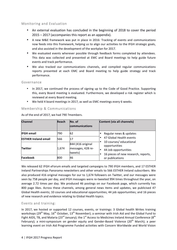# Monitoring and Evaluation

- An external evaluation has concluded in the beginning of 2018 to cover the period  $2015 - 2017$  (accompanies this report as an appendix).
- A new M&E framework was put in place in 2016: Tracking of events and communications now feeds into this framework, helping us to align our activities to the IFGH strategic goals, and also assisted in the development of the workplan for 2017.
- We evaluated events wherever possible through feedback forms completed by attendees. This data was collected and presented at EMC and Board meetings to help guide future events and track performance.
- We also tracked our communications channels, and compiled regular communications reports presented at each EMC and Board meeting to help guide strategy and track performance.

#### Governance

- In 2017, we continued the process of signing up to the Code of Good Practice. Supporting this, every Board meeting is evaluated. Furthermore, we developed a risk register which is reviewed at every Board meeting.
- We held 4 board meetings in 2017, as well as EMC meetings every 6 weeks.

#### Membership & Communications

| <b>Channel</b>              | <b>Reach</b> | No. of<br>communications                          | Content (via all channels)                                                                                                        |
|-----------------------------|--------------|---------------------------------------------------|-----------------------------------------------------------------------------------------------------------------------------------|
| <b>IFGH email</b>           | 790          | 62                                                | Regular news & updates                                                                                                            |
| <b>ESTHER Ireland email</b> | 566          | 17                                                | 47 Global Health events<br>$\bullet$                                                                                              |
| <b>Twitter</b>              | 1,674        | 844 (416 original<br>messages, 428 re-<br>tweets) | 10 courses/ educational<br>opportunities<br>44 Job opportunities<br>$\bullet$<br>16 pieces of new research, reports,<br>$\bullet$ |
| Facebook                    | 800          | 46                                                | or publications                                                                                                                   |

As of the end of 2017, we had 790 ?members.

We released 62 IFGH eForum emails and targeted campaigns to 790 IFGH members, and 17 ESTHER Ireland Partnerships Panorama newsletters and other emails to 566 ESTHER Ireland subscribers. We also produced 416 original messages for our to 1,674 followers on Twitter, and our messages were seen by 758 people per day, and IFGH messages were re-tweeted 994 times throughout the year, on average 2.72 times per day. We produced 46 postings on our Facebook page, which currently has 800 page likes. Across these channels, among general news items and updates, we publicised 47 Global Health events; 10 courses and educational opportunities; 44 job opportunities; and 16 pieces of new research and evidence relating to Global Health topics.

## Events and training:

In 2017, we hosted or supported 12 courses, events, or trainings: 3 Global health Writes training workshops (29<sup>th</sup> May, 16<sup>th</sup> October, 13<sup>th</sup> November); a seminar with Irish Aid and the Global Fund to Fight AIDS, TB, and Malaria (23<sup>rd</sup> January); the 1<sup>st</sup> Access to Medicines Ireland Annual Conference (8<sup>th</sup> February); a mini-symposium on gender equity and Gender-Based Violence (20<sup>th</sup> March); a peer learning event on Irish Aid Programme Funded activities with Concern Worldwide and World Vision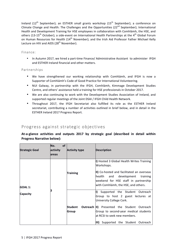Ireland (12<sup>th</sup> September); an ESTHER small grants workshop (15<sup>th</sup> September); a conference on Climate Change and Health: The Challenges and the Opportunities  $(22^{nd}$  September); International Health and Development Training for HSE employees in collaboration with Comhlámh, the HSE, and others (13-15<sup>th</sup> October); a side-event on International Health Partnerships at the 4<sup>th</sup> Global Forum on Human Resources for Health (14<sup>th</sup> November); and the Irish Aid Professor Father Michael Kelly Lecture on HIV and AIDS (28<sup>th</sup> November).

## Finance:

• In Autumn 2017, we hired a part-time Finance/ Administrative Assistant to administer IFGH and ESTHER Ireland financial and other matters.

## Partnerships

- We have strengthened our working relationship with Comhlámh, and IFGH is now a Supporter of Comhlámh's Code of Good Practice for International Volunteering.
- NUI Galway, in partnership with the IFGH, Comhlámh, Kimmage Development Studies Centre, and others' assistance held a training for HSE professionals in October 2017.
- We are also continuing to work with the Development Studies Association of Ireland, and supported regular meetings of the Joint DSAI / IFGH Child Health Network.
- Throughout 2017, the IFGH Secretariat also fulfilled its role as the ESTHER Ireland secretariat, contributing a number of activities outlined in brief below, and in detail in the ESTHER Ireland 2017 Progress Report.

# Progress against strategic objectives

At-a-glance activities and outputs 2017 by strategic goal (described in detail within **Progress Narrative below):** 

| <b>Strategic Goal</b>      | No.<br><b>of</b><br>activity<br>lareas | <b>Activity type</b> | <b>Description</b>                                                                                                                                                                                                                   |
|----------------------------|----------------------------------------|----------------------|--------------------------------------------------------------------------------------------------------------------------------------------------------------------------------------------------------------------------------------|
| <b>GOAL 1:</b><br>Capacity |                                        | <b>Training</b>      | I) Hosted 3 Global Health Writes Training<br>Workshops.<br>II) Co-hosted and facilitated an overseas<br>and development<br>health<br>training<br>weekend for HSE staff in partnership<br>with Comhlámh, the HSE, and others.         |
|                            |                                        | Student<br>Group     | Supported the Student Outreach<br>I)<br>Group to host 2 guest lectures at<br>University College Cork.<br><b>Outreach II)</b> Presented the Student Outreach<br>Group to second-year medical students<br>at RCSI to seek new members. |
|                            |                                        |                      | $\ket{\text{III}}$<br>Supported the Student Outreach                                                                                                                                                                                 |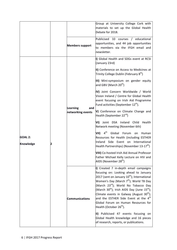|                                    |  |                                             | Group at University College Cork with<br>materials to set up the Global Health<br>Debate for 2018.                                                                                                                                                                                                                                                                                                                                                                                                           |
|------------------------------------|--|---------------------------------------------|--------------------------------------------------------------------------------------------------------------------------------------------------------------------------------------------------------------------------------------------------------------------------------------------------------------------------------------------------------------------------------------------------------------------------------------------------------------------------------------------------------------|
|                                    |  | <b>Members support</b>                      | Publicised 10 courses / educational<br>opportunities, and 44 job opportunities<br>to members via the IFGH email and<br>newsletter.                                                                                                                                                                                                                                                                                                                                                                           |
|                                    |  | <b>Learning</b><br>and<br>networking events | I) Global Health and SDGs event at RCSI<br>(January 23rd)                                                                                                                                                                                                                                                                                                                                                                                                                                                    |
|                                    |  |                                             | II) Conference on Access to Medicines at<br>Trinity College Dublin (February $8th$ )                                                                                                                                                                                                                                                                                                                                                                                                                         |
| <b>GOAL 2:</b><br><b>Knowledge</b> |  |                                             | III) Mini-symposium on gender equity<br>and GBV (March 20 <sup>th</sup> )                                                                                                                                                                                                                                                                                                                                                                                                                                    |
|                                    |  |                                             | IV) Joint Concern Worldwide / World<br>Vision Ireland / Centre for Global Health<br>event focusing on Irish Aid Programme<br>Fund activities (September 12 <sup>th</sup> ).                                                                                                                                                                                                                                                                                                                                  |
|                                    |  |                                             | V) Conference on Climate Change and<br>Health (September 22 <sup>nd</sup> )                                                                                                                                                                                                                                                                                                                                                                                                                                  |
|                                    |  |                                             | VI) Joint DSA Ireland Child Health<br>Network meeting (November 6th)                                                                                                                                                                                                                                                                                                                                                                                                                                         |
|                                    |  |                                             | VII) $4^{\text{th}}$<br>Global Forum<br>on<br>Human<br>Resources for Health (including ESTHER<br>Ireland Side Event on International<br>Health Partnerships) (November 13-17 <sup>th</sup> )                                                                                                                                                                                                                                                                                                                 |
|                                    |  |                                             | VIII) Co-hosted Irish Aid Annual Professor<br>Father Michael Kelly Lecture on HIV and<br>AIDS (November 28 <sup>th</sup> )                                                                                                                                                                                                                                                                                                                                                                                   |
|                                    |  | Communications                              | I) Created 7 in-depth email campaigns<br>focusing on: Looking ahead to January<br>2017 (sent on January $10^{\text{th}}$ ); International<br>Women's Day (March 7 <sup>th</sup> ); World TB Day<br>(March 23 <sup>rd</sup> ); World No Tobacco Day<br>(March 30 <sup>th</sup> ); Irish AIDS Day (June 15 <sup>th</sup> );<br>Climate events in Galway (August $30^{th}$ );<br>and the ESTHER Side Event at the $4^{\text{th}}$<br>Global Forum on Human Resources for<br>Health (October 26 <sup>th</sup> ). |
|                                    |  |                                             | II) Publicised 47 events focusing on<br>Global Health knowledge and 16 pieces<br>of research, reports, or publications.                                                                                                                                                                                                                                                                                                                                                                                      |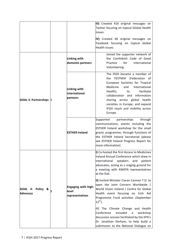|                                     |  |                                                 | III) Created 416 original messages on<br>Twitter focusing on topical Global Health<br>issues.<br>IV) Created 46 original messages on<br>Facebook focusing on topical Global                                                                                                                                               |
|-------------------------------------|--|-------------------------------------------------|---------------------------------------------------------------------------------------------------------------------------------------------------------------------------------------------------------------------------------------------------------------------------------------------------------------------------|
| <b>GOAL 3: Partnerships 3</b>       |  | Linking with<br>domestic partners               | Health issues.<br>Joined the supporter network of<br>the Comhlámh Code of Good<br>Practice<br>for<br>International<br>Volunteering.                                                                                                                                                                                       |
|                                     |  | Linking with<br>international<br>partners       | The IFGH became a member of<br>the FESTMIH (Federation<br>οf<br>European Societies for Tropical<br>Medicine<br>and<br>International<br>Health),<br>facilitate<br>to<br>collaboration<br>and information<br>sharing across global health<br>societies in Europe, and expand<br>IFGH reach and visibility across<br>Europe. |
|                                     |  | <b>ESTHER Ireland</b>                           | Supported<br>partnerships<br>through<br>communications, events including the<br>ESTHER Ireland workshop for the small<br>grants programme, through functions of<br>the ESTHER Ireland Secretariat (please<br>see ESTHER Ireland Progress Report for<br>more information).                                                 |
| GOAL 4: Policy &<br><b>Advocacy</b> |  |                                                 | I) Co-hosted the first Access to Medicines<br>Ireland Annual Conference which drew in<br>international<br>speakers<br>and<br>patient<br>advocates, acting as a staging ground for<br>a meeting with AWEPA representatives<br>at the Dail.                                                                                 |
|                                     |  | Engaging with high-<br>level<br>representatives | II) Invited Minister Ciaran Cannon T.D. to<br>open the Joint Concern Worldwide /<br>World Vision Ireland / Centre for Global<br>Health event focusing on Irish Aid<br>Programme Fund activities (September<br>$12^{th}$ ).                                                                                                |
|                                     |  |                                                 | III) The Climate Change and Health<br>Conference<br>included<br>workshop<br>a<br>discussion session facilitated by the EPA's<br>Dr. Jonathan Derham, to help build a<br>submission to the National Dialogue on                                                                                                            |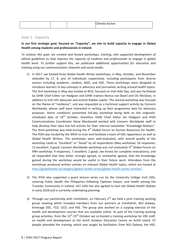|  |  |  | Climate Action. |
|--|--|--|-----------------|
|--|--|--|-----------------|

#### Goal 1: Capacity

In our first strategic goal, focused on "Capacity", we aim to build capacity to engage in Global Health among students and professionals in Ireland.

To achieve this goal, we created and hosted workshops, training, and supported development of *ethical quidelines to help improve the capacity of students and professionals to engage in global health* work. To further support this, we publicised additional opportunities for education and *training using our communications channels and social media.*

- 1) In 2017, we hosted three Global Health Writes workshops, in May, October, and November attended by 17, 8, and 14 individuals respectively, including participants from diverse sectors including academic, student, NGO, and HSE. These workshops were designed to introduce learners to key concepts in advocacy and journalistic writing around health topics. The first workshop in May was hosted at RCSI, focused on Irish Aids Day, and was facilitated by GHW Chief Editor Ian Hodgson and GHW trainers Bianca van Bavel and Chi McClean, in addition to Irish HIV advocate and activist Robbie Lawlor. The second workshop was focused on the theme of "resilience", and was requested as a technical support activity by Concern Worldwide, whose staff were interested in writing up their programme data for advocacy purposes. Storm conditions prevented full-day workshop being held on the originallyscheduled date of  $16<sup>th</sup>$  October, therefore GHW Chief Editor Ian Hodgson and IFGH Communications Coordinator Steve Macdonald worked with Concern Worldwide staff to help develop their data into full articles for their internal newsletter "Knowledge Matters". The third workshop was held during the  $4<sup>th</sup>$  Global Forum on Human Resources for Health. The IFGH was funded by the WHO to train and facilitate a team of HSE rapporteurs as well as Global Health Writers. The workshops were well-evaluated, with overall quality of the workshop rated as "Excellent" or "Good" by all respondents (May workshop: 16 responses; 13 excellent; 3 good; Concern Worldwide workshop was not evaluated;  $4^{th}$  Global Forum on HRH workshop: 9 responses; 7 excellent; 2 good, see Annex for complete evaluations), and all responded that they either strongly agreed, or somewhat agreed, that the knowledge gained during the workshop would be useful in their future work. Attendees from the workshops produced written articles on relevant Global Health topics, which are hosted at http://globalhealth.ie/category/global-health-writes/global-health-writes-articles/.
- 2) The IFGH also supported a guest lecture series run by the University College Cork SOG, covering Public Health the Philippines following Typhoon Haiyan, and health among the Traveller Community in Ireland. UCC SOG has also agreed to host the Global Health Debate in early 2018 and is currently undertaking planning.
- 3) Through our partnership with Comhlámh, on February  $2^{nd}$  we held a joint training working group meeting which included members from our partners at Comhlámh, NUI Galway, Kimmage DSC, TCD, UCD, and HSE. The group also worked on a scoping exercise of the health and development courses that are available online. As part of the training working group activities, from the  $13^{th}$ -15<sup>th</sup> October we co-hosted a training workshop for HSE staff, on health and development at the Achill Outdoor Education Centre on Achill Island. 52 people attended the training, which was taught by facilitators from NUI Galway, the HSE,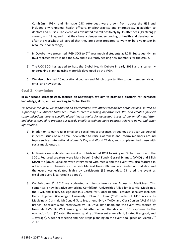Comhlámh, IFGH, and Kimmage DSC. Attendees were drawn from across the HSE and included environmental health officers, physiotherapists and pharmacists, in addition to doctors and nurses. The event was evaluated overall positively by 38 attendees (19 strongly agreed, and 19 agreed, that they have a deeper understanding of health and development after the workshop; 35 agreed that they are better prepared to work or be a volunteer in resource-poor settings).

- 4) In October, we presented IFGH SOG to  $2^{nd}$  year medical students at RCSI. Subsequently, an RCSI representative joined the SOG and is currently seeking new members for the group.
- 5) The UCC SOG has agreed to host the Global Health Debate in early 2018 and is currently undertaking planning using materials developed by the IFGH.
- 6) We also publicised 10 educational courses and 44 job opportunities to our members via our email and newsletter.

#### Goal 2: Knowledge

## In our second strategic goal, focused on Knowledge, we aim to provide a platform for increased knowledge, skills, and networking in Global Health.

To achieve this goal, we capitalised on partnerships with other stakeholder organisations, as well as supporting our Student Outreach Group to create learning opportunities. We also created focused *communications around specific alobal health topics for dedicated issues of our email newsletter,* and also continued to produce our weekly emails containing news updates, relevant news, and other *information.*

- 1) In addition to our regular email and social media presence, throughout the year we created in-depth issues of our email newsletter to raise awareness and inform members around topics such as International Women's Day and World TB day, and complemented these with social media outputs.
- 2) In January we co-hosted an event with Irish Aid at RCSI focusing on Global Health and the SDGs. Featured speakers were Mark Dybul (Global Fund), Gerard Schmets (WHO) and Eilish McAuliffe (UCD). Speakers were interviewed with media and the event was also featured in other specialist channels such as Irish Medical Times. 86 people attended on that day, and the event was evaluated highly by participants (36 responded, 23 rated the event as excellent overall, 13 rated it as good).
- 3) On February  $8^{th}$  2017 we co-hosted a mini-conference on Access to Medicines. This comprises a new initiative comprising Comhlámh, Universities Allied for Essential Medicines, the IFGH, and Trinity College Dublin's Centre for Global Health. Featured speakers included Hans Hogerzeil (Groningen University), Ellen 't Hoen (Co-Founder of MSF Access to Medicines), Diarmaid McDonald (Just Treatment, Ex-UNITAID), and Ciara Conlan (UAEM Irish Branch). Speakers were interviewed by RTE Drive Time Radio and the event was chaired by Newstalk FM's Dil Wickremasinghe. 74 attended on the day with 35 responses to the evaluation form (25 rated the overall quality of the event as excellent, 9 rated it as good, and 1 average). A debrief meeting and next steps planning on the event took place on March  $2^{nd}$ 2017.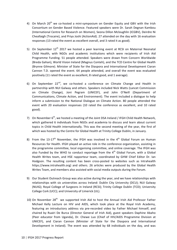- 4) On March  $20^{th}$  we co-hosted a mini-symposium on Gender Equity and GBV with the Irish Consortium on Gender Based Violence. Featured speakers were Dr. Sarah Degnan Kambou (International Centre for Research on Women), Seona Dillon Mcloughlin (ICGBV), Deirdre Ni Cheallaigh (Trocaire), and Priya Joshi (ActionAid). 27 attended on the day with 16 evaluation responses (13 rated the event as excellent overall, and 3 rated it as good).
- 5) On September  $12<sup>th</sup>$  2017 we hosted a peer learning event at RCSI on Maternal Neonatal Child Health, with NGOs and academic institutions which were recipients of Irish Aid Programme Funding. 51 people attended. Speakers were drawn from Concern Worldwide (Breda Gahan), World Vision Ireland (Magnus Conteh), and the TCD Centre for Global Health (Brynne Gilmore). Minister of State for the Diaspora and International Development Ciaran Cannon T.D. opened the event. 64 people attended, and overall the event was evaluated positively (11 rated the event as excellent, 8 rated good, and 1 average).
- 6) On September  $22^{nd}$ , we co-hosted a conference on Climate Change and Health in partnership with NUI Galway and others. Speakers included Nick Watts (Lancet Commission on Climate Change), Joni Pegram (UNICEF), and John O'Neill (Department of Communications, Climate Action, and Environment). The event included a dialogue to help inform a submission to the National Dialogue on Climate Action. 80 people attended the event with 20 evaluation responses (10 rated the conference as excellent, and 10 rated good).
- 7) On November  $6<sup>th</sup>$ , we hosted a meeting of the Joint DSA Ireland / IFGH Child Health Network, which gathered 6 individuals from NGOs and academia to discuss and learn about current topics in Child Health internationally. This was the second meeting of the year, the first of which was hosted by the Centre for Global Health at Trinity College Dublin, in January.
- 8) From the 13-17<sup>th</sup> November, the IFGH was involved in the  $4<sup>th</sup>$  Global Forum on Human Resources for Health. IFGH played an active role in the conference organization, assisting in the programme committee, local organising committee, and online coverage. The IFGH was also Funded by the WHO to conduct reportage from the  $4<sup>th</sup>$  Global Forum, with a Global Health Writes team, and HSE rapporteur team, coordinated by GHW Chief Editor Dr. Ian Hodgson. The resulting content has been cross-posted to websites such as Intrahealth https://www.intrahealth.org) and others. 26 articles were produced by the Global Health Writes Team, and members also assisted with social media outputs during the Forum.
- 9) Our Student Outreach Group was also active during the year, and we have relationships with relationships with six universities across Ireland: Dublin City University (DCU); NUI Galway (NUIG); Royal College of Surgeons in Ireland (RCSI); Trinity College Dublin (TCD); University College Cork (UCC); and University of Limerick (UL).
- 10) On November  $28<sup>th</sup>$  we supported Irish Aid to host the Annual Irish Aid Professor Father Michael Kelly Lecture on HIV and AIDS, which took place at the Royal Irish Academy, featuring an introductory address via pre-recorded video by Father Michael himself, and chaired by Ruairi De Burca (Director General of Irish Aid), guest speakers Daphine Abaho (Peer educator from Uganda), Dr. Chewe Luo (Chief of HIV/AIDS Programme Division at UNICEF), and Ciaran Cannon (Minister of State for the Diaspora and International Development in Ireland). The event was attended by 68 individuals on the day, and was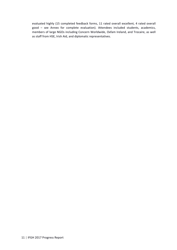evaluated highly (15 completed feedback forms, 11 rated overall excellent, 4 rated overall good - see Annex for complete evaluation). Attendees included students, academics, members of large NGOs including Concern Worldwide, Oxfam Ireland, and Trocaire, as well as staff from HSE, Irish Aid, and diplomatic representatives.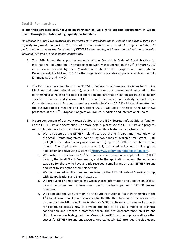#### Goal 3: Partnerships

## In our third strategic goal, focused on Partnerships, we aim to support engagement in Global Health through facilitation of high quality partnerships.

To achieve this goal, we strategically partnered with organisations in Ireland and abroad, using our *capacity* to provide support in the area of communications and events hosting, in addition to performing our role as the Secretariat of ESTHER Ireland to support international health partnerships *between Irish and overseas health institutions.*

- 1) The IFGH Joined the supporter network of the Comhlámh Code of Good Practice for International Volunteering. The supporter network was launched on the  $28^{th}$  of March 2017 at an event opened by then Minister of State for the Diaspora and International Development, Joe McHugh T.D. 10 other organisations are also supporters, such as the HSE, Kimmage DSC, and INMO.
- 2) The IFGH became a member of the FESTMIH (Federation of European Societies for Tropical Medicine and International Health), which is a non-profit international association. The partnership also helps to facilitate collaboration and information sharing across global health societies in Europe, and it allows IFGH to expand their reach and visibility across Europe. Currently there are 14 European member societies. In March 2017 David Weakliam attended the FESTMIH Board Meeting and in October 2017 IFGH Chair Professor Anne Matthews presented at the 10<sup>th</sup> European Congress on Tropical Medicine and International Health.
- 3) A core component of our work towards Goal 3 is the IFGH Secretariat's additional function as the ESTHER Ireland Secretariat. (For more details, please see the ESTHER Ireland progress report.) In brief, we took the following actions to facilitate high-quality partnerships:
	- a. We re-structured the ESTHER Ireland Start-Up Grants Programme, now known as the Small Grants programme, comprising two bands of available small grants: i) up to  $\epsilon$ 8,000 for individual organisations, and ii) up to  $\epsilon$ 15,000 for multi-institution groups. The application process was fully managed using our online grants application and reviewing system at http://www.commongrantapplication.com.
	- b. We hosted a workshop on  $15<sup>th</sup>$  September to introduce new applicants to ESTHER Ireland, the Small Grant Programme, and to the application system. The workshop was also for those who have already received a small grant through ESTHER Ireland and want to strengthen their partnership.
	- c. We coordinated applications and reviews by the ESTHER Ireland Steering Group, with 11 applications and 8 grant awards.
	- d. We produced 17 email campaigns which shared information and updates on ESTHER Ireland activities and international health partnerships with ESTHER Ireland members.
	- e. We co-hosted the Side Event on North South Institutional Health Partnerships at the  $4<sup>th</sup>$  Global Forum on Human Resources for Health. The objective of the session was to demonstrate IHPs contribute to the WHO Global Strategy on Human Resources for Health, to discuss how to develop the role of IHPs as a model of technical cooperation and prepare a statement from the session/conference on IHPs and HRH. The session highlighted the Mozambique-HSE partnership, as well as other successful ESTHER Ireland endeavours. Approximately 120 attended the side event,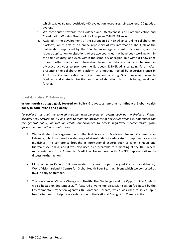which was evaluated positively (40 evaluation responses; 19 excellent; 20 good; 1 average). 

- f. We contributed towards the Evidence and Effectiveness, and Communication and Coordination Working Groups of the European ESTHER Alliance.
- g. Assisted in the development of the European ESTHER Alliance online collaboration platform, which acts as an online repository of key information about all of the partnerships supported by the EEA, to encourage efficient collaboration, and to reduce duplication, or situations where two countries may have been working within the same country, and even within the same city or region, but without knowledge of each other's activities. Information from this database will also be used in advocacy activities to promote the European ESTHER Alliance going forth. After presenting the collaboration platform at a meeting hosted by Expertise France in April, the Communication and Coordination Working Group received valuable feedback and strategic direction and the collaboration platform is being developed further.

#### Goal 4: Policy & Advocacy

In our fourth strategic goal, focused on Policy & advocacy, we aim to influence Global Health policy in both Ireland and globally.

To achieve this goal, we worked together with partners on events such as the Professor Father *Michael Kelly Lecture on HIV and AIDS to maintain awareness of key issues among our members and* the general public, as well as create opportunities to access high-level representatives from *government and other organisations.*

- 1) We facilitated the organisation of the first Access to Medicines Ireland Conference in February, which gathered a wide range of stakeholders to advocate for improved access to medicines. The conference brought in international experts such as Ellen 't Hoen and Diarmaid McDonald, and it was also used as a preamble to a meeting at the Dail, where representatives from Access to Medicines Ireland met with AWEPA representatives to discuss further action.
- 2) Minister Ciaran Cannon T.D. was invited to speak to open the ioint Concern Worldwide / World Vision Ireland / Centre for Global Health Peer Learning Event which we co-hosted at RCSI in early September.
- 3) The conference "Climate Change and Health: The Challenges and the Opportunities", which we co-hosted on September  $22^{nd}$ , featured a workshop discussion session facilitated by the Environmental Protection Agency's Dr. Jonathan Derham, which was used to solicit input from attendees to help form a submission to the National Dialogue on Climate Action.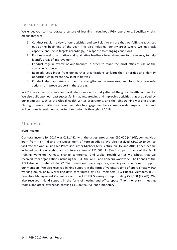# Lessons learned

We endeavour to incorporate a culture of learning throughout IFGH operations. Specifically, this means that we:

- 1) Conduct regular review of our activities and workplan to ensure that we fulfil the tasks set out at the beginning of the year. This also helps us identify areas where we may lack capacity, and revise targets accordingly, in response to changing conditions.
- 2) Routinely seek quantitative and qualitative feedback from attendees to our events, to help identify areas of improvement.
- 3) Conduct regular review of our finances in order to make the most efficient use of the available resources.
- 4) Regularly seek input from our partner organisations to learn their priorities and identify opportunities to create new joint initiatives.
- 5) Conduct staff appraisals to identify strengths and weaknesses, and formulate concrete actions to improve support in these areas.

In 2017, we aimed to create and facilitate more events that gathered the global health community. We also built upon our past successful initiatives, growing and improving activities that are valued by our members, such as the Global Health Writes programme, and the joint training working group. Through these activities, we have been able to engage members across a wide range of topics and will continue to seek new opportunities to do this throughout 2018.

# Financials

## **IFGH Income**

Our total income for 2017 was  $\epsilon$ 111,442, with the largest proportion,  $\epsilon$ 50,000 (44.9%), coming via a grant from Irish Aid and the Department of Foreign Affairs. We also received €10,000 (9.0%) to facilitate the Annual Irish Aid Professor Father Michael Kelly Lecture on HIV and AIDS. Other income included training workshop and conference fees of  $E12,602$  (11.3%) from participants of the Achill training workshop, Climate change conference, and Global Health Writes workshops that we received from organizations including the HSE, the WHO, and Concern worldwide. The Friends of the IFGH also contributed  $\epsilon$ 2,840 (2.5%) towards our operating costs, enabling us to do more to support our members. We also received in-kind support in the form of voluntary time of approximately 500 working hours, or 62.5 working days contributed by IFGH Members, IFGH Board Members, IFGH Executive Management Committee and the ESTHER Steering Group, totaling  $£25,000$  (22.4%). We also received in-kind support in the form of hosting and office space (\*non-monetary), meeting rooms, and office overheads, totaling €11,000 (9.9%) (\*non-monetary).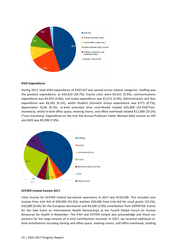

#### **IFGH Expenditure**

During 2017, total IFGH expenditure of €107,427 was spread across several categories: Staffing was the greatest expenditure, at  $\text{\textsterling}42,610$  (39.7%). Events costs were  $\text{\textsterling}5,412$  (5.0%), communications expenditure was  $\epsilon$ 4,974 (4.6%), and travel expenditure was  $\epsilon$ 2,572 (2.4%). Administration and fees expenditure was  $\epsilon$ 6,562 (6.1%), whilst Student Outreach Group expenditure was  $\epsilon$ 771 (0.7%), depreciation  $£128$  (0.1%). In-kind voluntary time contributed totaled  $£25,000$  (23.3%)(\*nonmonetary), whilst in-kind office space, meeting rooms, and office overheads totaled  $E1,000$  (10.2%) (\*non-monetary). Expenditure on the Irish Aid Annual Professor Father Michael Kelly Lecture on HIV and AIDS was €8,398 (7.8%).



#### **ESTHER Ireland Income 2017**

Total income for ESTHER Ireland Secretariat operations in 2017 was €150,500. This included core income from Irish Aid of €50,000 (33.2%), another  $€50,000$  from Irish Aid for small grants (33.2%), €10,000 (6.6%) for the European Secretariat and €4,500 (3.0%) contribution from EXPERTISE France for the Side Event on International Health Partnerships at the Fourth Global Forum on Human Resources for Health in November. The IFGH and ESTHER Ireland also acknowledge and thank our partners for the large amount of in-kind contributions received: In 2017, we received additional inkind contributions including hosting and office space, meeting rooms, and office overheads, totaling